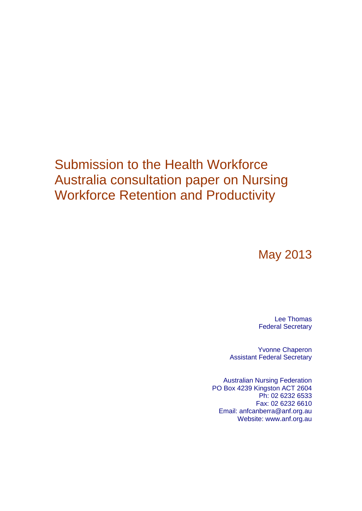## Submission to the Health Workforce Australia consultation paper on Nursing Workforce Retention and Productivity

May 2013

Lee Thomas Federal Secretary

Yvonne Chaperon Assistant Federal Secretary

Australian Nursing Federation PO Box 4239 Kingston ACT 2604 Ph: 02 6232 6533 Fax: 02 6232 6610 Email: anfcanberra@anf.org.au Website: www.anf.org.au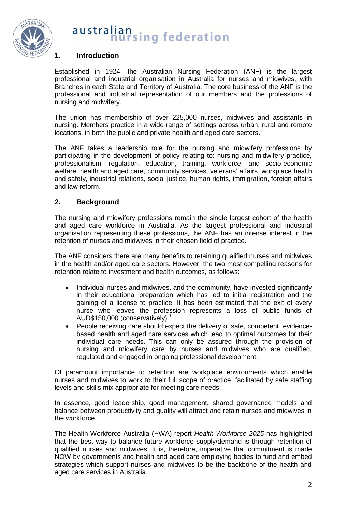

## **1. Introduction**

Established in 1924, the Australian Nursing Federation (ANF) is the largest professional and industrial organisation in Australia for nurses and midwives, with Branches in each State and Territory of Australia. The core business of the ANF is the professional and industrial representation of our members and the professions of nursing and midwifery.

The union has membership of over 225,000 nurses, midwives and assistants in nursing. Members practice in a wide range of settings across urban, rural and remote locations, in both the public and private health and aged care sectors.

The ANF takes a leadership role for the nursing and midwifery professions by participating in the development of policy relating to: nursing and midwifery practice, professionalism, regulation, education, training, workforce, and socio-economic welfare; health and aged care, community services, veterans' affairs, workplace health and safety, industrial relations, social justice, human rights, immigration, foreign affairs and law reform.

## **2. Background**

The nursing and midwifery professions remain the single largest cohort of the health and aged care workforce in Australia. As the largest professional and industrial organisation representing these professions, the ANF has an intense interest in the retention of nurses and midwives in their chosen field of practice.

The ANF considers there are many benefits to retaining qualified nurses and midwives in the health and/or aged care sectors. However, the two most compelling reasons for retention relate to investment and health outcomes, as follows:

- Individual nurses and midwives, and the community, have invested significantly in their educational preparation which has led to initial registration and the gaining of a license to practice. It has been estimated that the exit of every nurse who leaves the profession represents a loss of public funds of AUD\$150,000 (conservatively). $<sup>1</sup>$ </sup>
- People receiving care should expect the delivery of safe, competent, evidencebased health and aged care services which lead to optimal outcomes for their individual care needs. This can only be assured through the provision of nursing and midwifery care by nurses and midwives who are qualified, regulated and engaged in ongoing professional development.

Of paramount importance to retention are workplace environments which enable nurses and midwives to work to their full scope of practice, facilitated by safe staffing levels and skills mix appropriate for meeting care needs.

In essence, good leadership, good management, shared governance models and balance between productivity and quality will attract and retain nurses and midwives in the workforce.

The Health Workforce Australia (HWA) report *Health Workforce 2025* has highlighted that the best way to balance future workforce supply/demand is through retention of qualified nurses and midwives. It is, therefore, imperative that commitment is made NOW by governments and health and aged care employing bodies to fund and embed strategies which support nurses and midwives to be the backbone of the health and aged care services in Australia.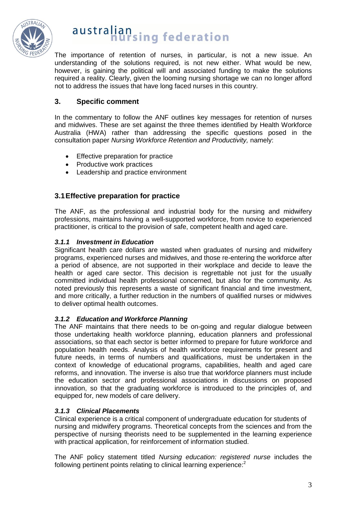

The importance of retention of nurses, in particular, is not a new issue. An understanding of the solutions required, is not new either. What would be new, however, is gaining the political will and associated funding to make the solutions required a reality. Clearly, given the looming nursing shortage we can no longer afford not to address the issues that have long faced nurses in this country.

## **3. Specific comment**

In the commentary to follow the ANF outlines key messages for retention of nurses and midwives. These are set against the three themes identified by Health Workforce Australia (HWA) rather than addressing the specific questions posed in the consultation paper *Nursing Workforce Retention and Productivity,* namely:

- **•** Effective preparation for practice
- Productive work practices
- Leadership and practice environment

## **3.1Effective preparation for practice**

The ANF, as the professional and industrial body for the nursing and midwifery professions, maintains having a well-supported workforce, from novice to experienced practitioner, is critical to the provision of safe, competent health and aged care.

## *3.1.1 Investment in Education*

Significant health care dollars are wasted when graduates of nursing and midwifery programs, experienced nurses and midwives, and those re-entering the workforce after a period of absence, are not supported in their workplace and decide to leave the health or aged care sector. This decision is regrettable not just for the usually committed individual health professional concerned, but also for the community. As noted previously this represents a waste of significant financial and time investment, and more critically, a further reduction in the numbers of qualified nurses or midwives to deliver optimal health outcomes.

## *3.1.2 Education and Workforce Planning*

The ANF maintains that there needs to be on-going and regular dialogue between those undertaking health workforce planning, education planners and professional associations, so that each sector is better informed to prepare for future workforce and population health needs. Analysis of health workforce requirements for present and future needs, in terms of numbers and qualifications, must be undertaken in the context of knowledge of educational programs, capabilities, health and aged care reforms, and innovation. The inverse is also true that workforce planners must include the education sector and professional associations in discussions on proposed innovation, so that the graduating workforce is introduced to the principles of, and equipped for, new models of care delivery.

## *3.1.3 Clinical Placements*

Clinical experience is a critical component of undergraduate education for students of nursing and midwifery programs. Theoretical concepts from the sciences and from the perspective of nursing theorists need to be supplemented in the learning experience with practical application, for reinforcement of information studied.

The ANF policy statement titled *Nursing education: registered nurse* includes the following pertinent points relating to clinical learning experience: $2$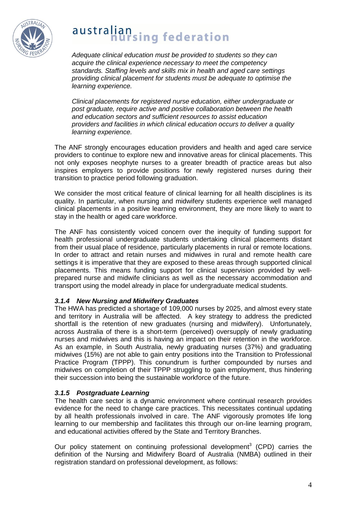

*Adequate clinical education must be provided to students so they can acquire the clinical experience necessary to meet the competency standards. Staffing levels and skills mix in health and aged care settings providing clinical placement for students must be adequate to optimise the learning experience.*

*Clinical placements for registered nurse education, either undergraduate or post graduate, require active and positive collaboration between the health and education sectors and sufficient resources to assist education providers and facilities in which clinical education occurs to deliver a quality learning experience.*

The ANF strongly encourages education providers and health and aged care service providers to continue to explore new and innovative areas for clinical placements. This not only exposes neophyte nurses to a greater breadth of practice areas but also inspires employers to provide positions for newly registered nurses during their transition to practice period following graduation.

We consider the most critical feature of clinical learning for all health disciplines is its quality. In particular, when nursing and midwifery students experience well managed clinical placements in a positive learning environment, they are more likely to want to stay in the health or aged care workforce.

The ANF has consistently voiced concern over the inequity of funding support for health professional undergraduate students undertaking clinical placements distant from their usual place of residence, particularly placements in rural or remote locations. In order to attract and retain nurses and midwives in rural and remote health care settings it is imperative that they are exposed to these areas through supported clinical placements. This means funding support for clinical supervision provided by wellprepared nurse and midwife clinicians as well as the necessary accommodation and transport using the model already in place for undergraduate medical students.

## *3.1.4 New Nursing and Midwifery Graduates*

The HWA has predicted a shortage of 109,000 nurses by 2025, and almost every state and territory in Australia will be affected. A key strategy to address the predicted shortfall is the retention of new graduates (nursing and midwifery). Unfortunately, across Australia of there is a short-term (perceived) oversupply of newly graduating nurses and midwives and this is having an impact on their retention in the workforce. As an example, in South Australia, newly graduating nurses (37%) and graduating midwives (15%) are not able to gain entry positions into the Transition to Professional Practice Program (TPPP). This conundrum is further compounded by nurses and midwives on completion of their TPPP struggling to gain employment, thus hindering their succession into being the sustainable workforce of the future.

## *3.1.5 Postgraduate Learning*

The health care sector is a dynamic environment where continual research provides evidence for the need to change care practices. This necessitates continual updating by all health professionals involved in care. The ANF vigorously promotes life long learning to our membership and facilitates this through our on-line learning program, and educational activities offered by the State and Territory Branches.

Our policy statement on continuing professional development<sup>3</sup> (CPD) carries the definition of the Nursing and Midwifery Board of Australia (NMBA) outlined in their registration standard on professional development, as follows: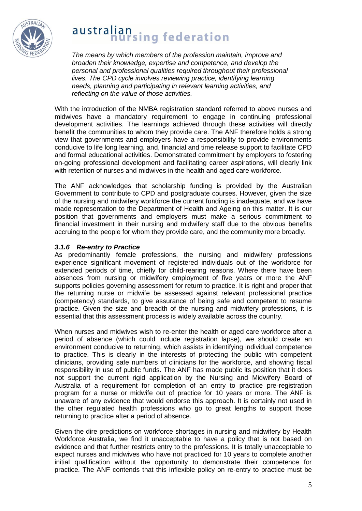

*The means by which members of the profession maintain, improve and broaden their knowledge, expertise and competence, and develop the personal and professional qualities required throughout their professional lives. The CPD cycle involves reviewing practice, identifying learning needs, planning and participating in relevant learning activities, and reflecting on the value of those activities.* 

With the introduction of the NMBA registration standard referred to above nurses and midwives have a mandatory requirement to engage in continuing professional development activities. The learnings achieved through these activities will directly benefit the communities to whom they provide care. The ANF therefore holds a strong view that governments and employers have a responsibility to provide environments conducive to life long learning, and, financial and time release support to facilitate CPD and formal educational activities. Demonstrated commitment by employers to fostering on-going professional development and facilitating career aspirations, will clearly link with retention of nurses and midwives in the health and aged care workforce.

The ANF acknowledges that scholarship funding is provided by the Australian Government to contribute to CPD and postgraduate courses. However, given the size of the nursing and midwifery workforce the current funding is inadequate, and we have made representation to the Department of Health and Ageing on this matter. It is our position that governments and employers must make a serious commitment to financial investment in their nursing and midwifery staff due to the obvious benefits accruing to the people for whom they provide care, and the community more broadly.

## *3.1.6 Re-entry to Practice*

As predominantly female professions, the nursing and midwifery professions experience significant movement of registered individuals out of the workforce for extended periods of time, chiefly for child-rearing reasons. Where there have been absences from nursing or midwifery employment of five years or more the ANF supports policies governing assessment for return to practice. It is right and proper that the returning nurse or midwife be assessed against relevant professional practice (competency) standards, to give assurance of being safe and competent to resume practice. Given the size and breadth of the nursing and midwifery professions, it is essential that this assessment process is widely available across the country.

When nurses and midwives wish to re-enter the health or aged care workforce after a period of absence (which could include registration lapse), we should create an environment conducive to returning, which assists in identifying individual competence to practice. This is clearly in the interests of protecting the public with competent clinicians, providing safe numbers of clinicians for the workforce, and showing fiscal responsibility in use of public funds. The ANF has made public its position that it does not support the current rigid application by the Nursing and Midwifery Board of Australia of a requirement for completion of an entry to practice pre-registration program for a nurse or midwife out of practice for 10 years or more. The ANF is unaware of any evidence that would endorse this approach. It is certainly not used in the other regulated health professions who go to great lengths to support those returning to practice after a period of absence.

Given the dire predictions on workforce shortages in nursing and midwifery by Health Workforce Australia, we find it unacceptable to have a policy that is not based on evidence and that further restricts entry to the professions. It is totally unacceptable to expect nurses and midwives who have not practiced for 10 years to complete another initial qualification without the opportunity to demonstrate their competence for practice. The ANF contends that this inflexible policy on re-entry to practice must be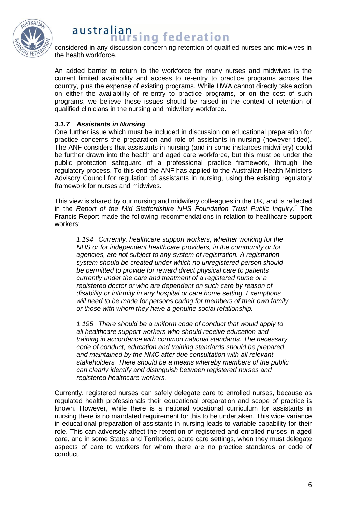

considered in any discussion concerning retention of qualified nurses and midwives in the health workforce.

An added barrier to return to the workforce for many nurses and midwives is the current limited availability and access to re-entry to practice programs across the country, plus the expense of existing programs. While HWA cannot directly take action on either the availability of re-entry to practice programs, or on the cost of such programs, we believe these issues should be raised in the context of retention of qualified clinicians in the nursing and midwifery workforce.

## *3.1.7 Assistants in Nursing*

One further issue which must be included in discussion on educational preparation for practice concerns the preparation and role of assistants in nursing (however titled). The ANF considers that assistants in nursing (and in some instances midwifery) could be further drawn into the health and aged care workforce, but this must be under the public protection safeguard of a professional practice framework, through the regulatory process. To this end the ANF has applied to the Australian Health Ministers Advisory Council for regulation of assistants in nursing, using the existing regulatory framework for nurses and midwives.

This view is shared by our nursing and midwifery colleagues in the UK, and is reflected in the *Report of the Mid Staffordshire NHS Foundation Trust Public Inquiry. <sup>4</sup>* The Francis Report made the following recommendations in relation to healthcare support workers:

*1.194 Currently, healthcare support workers, whether working for the NHS or for independent healthcare providers, in the community or for agencies, are not subject to any system of registration. A registration system should be created under which no unregistered person should be permitted to provide for reward direct physical care to patients currently under the care and treatment of a registered nurse or a registered doctor or who are dependent on such care by reason of disability or infirmity in any hospital or care home setting. Exemptions will need to be made for persons caring for members of their own family or those with whom they have a genuine social relationship.*

*1.195 There should be a uniform code of conduct that would apply to all healthcare support workers who should receive education and training in accordance with common national standards. The necessary code of conduct, education and training standards should be prepared and maintained by the NMC after due consultation with all relevant stakeholders. There should be a means whereby members of the public can clearly identify and distinguish between registered nurses and registered healthcare workers.*

Currently, registered nurses can safely delegate care to enrolled nurses, because as regulated health professionals their educational preparation and scope of practice is known. However, while there is a national vocational curriculum for assistants in nursing there is no mandated requirement for this to be undertaken. This wide variance in educational preparation of assistants in nursing leads to variable capability for their role. This can adversely affect the retention of registered and enrolled nurses in aged care, and in some States and Territories, acute care settings, when they must delegate aspects of care to workers for whom there are no practice standards or code of conduct.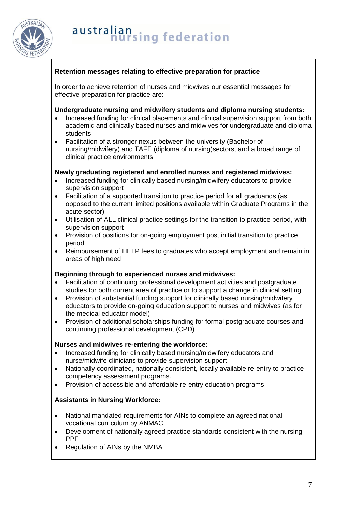

## **Retention messages relating to effective preparation for practice**

In order to achieve retention of nurses and midwives our essential messages for effective preparation for practice are:

## **Undergraduate nursing and midwifery students and diploma nursing students:**

- Increased funding for clinical placements and clinical supervision support from both academic and clinically based nurses and midwives for undergraduate and diploma students
- Facilitation of a stronger nexus between the university (Bachelor of nursing/midwifery) and TAFE (diploma of nursing)sectors, and a broad range of clinical practice environments

## **Newly graduating registered and enrolled nurses and registered midwives:**

- Increased funding for clinically based nursing/midwifery educators to provide supervision support
- Facilitation of a supported transition to practice period for all graduands (as opposed to the current limited positions available within Graduate Programs in the acute sector)
- Utilisation of ALL clinical practice settings for the transition to practice period, with supervision support
- Provision of positions for on-going employment post initial transition to practice period
- Reimbursement of HELP fees to graduates who accept employment and remain in areas of high need

## **Beginning through to experienced nurses and midwives:**

- Facilitation of continuing professional development activities and postgraduate studies for both current area of practice or to support a change in clinical setting
- Provision of substantial funding support for clinically based nursing/midwifery educators to provide on-going education support to nurses and midwives (as for the medical educator model)
- Provision of additional scholarships funding for formal postgraduate courses and continuing professional development (CPD)

### **Nurses and midwives re-entering the workforce:**

- Increased funding for clinically based nursing/midwifery educators and nurse/midwife clinicians to provide supervision support
- Nationally coordinated, nationally consistent, locally available re-entry to practice competency assessment programs.
- Provision of accessible and affordable re-entry education programs

## **Assistants in Nursing Workforce:**

- National mandated requirements for AINs to complete an agreed national vocational curriculum by ANMAC
- Development of nationally agreed practice standards consistent with the nursing PPF
- Regulation of AINs by the NMBA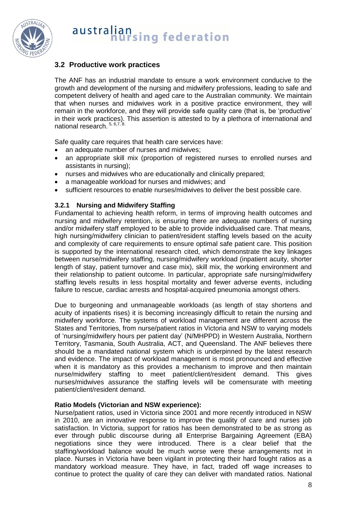

## **3.2 Productive work practices**

The ANF has an industrial mandate to ensure a work environment conducive to the growth and development of the nursing and midwifery professions, leading to safe and competent delivery of health and aged care to the Australian community. We maintain that when nurses and midwives work in a positive practice environment, they will remain in the workforce, and they will provide safe quality care (that is, be 'productive' in their work practices). This assertion is attested to by a plethora of international and national research. 5, 6,7, 8.

Safe quality care requires that health care services have:

- an adequate number of nurses and midwives;
- an appropriate skill mix (proportion of registered nurses to enrolled nurses and assistants in nursing);
- nurses and midwives who are educationally and clinically prepared;
- a manageable workload for nurses and midwives; and
- sufficient resources to enable nurses/midwives to deliver the best possible care.

## **3.2.1 Nursing and Midwifery Staffing**

Fundamental to achieving health reform, in terms of improving health outcomes and nursing and midwifery retention, is ensuring there are adequate numbers of nursing and/or midwifery staff employed to be able to provide individualised care. That means, high nursing/midwifery clinician to patient/resident staffing levels based on the acuity and complexity of care requirements to ensure optimal safe patient care. This position is supported by the international research cited, which demonstrate the key linkages between nurse/midwifery staffing, nursing/midwifery workload (inpatient acuity, shorter length of stay, patient turnover and case mix), skill mix, the working environment and their relationship to patient outcome. In particular, appropriate safe nursing/midwifery staffing levels results in less hospital mortality and fewer adverse events, including failure to rescue, cardiac arrests and hospital-acquired pneumonia amongst others.

Due to burgeoning and unmanageable workloads (as length of stay shortens and acuity of inpatients rises) it is becoming increasingly difficult to retain the nursing and midwifery workforce. The systems of workload management are different across the States and Territories, from nurse/patient ratios in Victoria and NSW to varying models of 'nursing/midwifery hours per patient day' (N/MHPPD) in Western Australia, Northern Territory, Tasmania, South Australia, ACT, and Queensland. The ANF believes there should be a mandated national system which is underpinned by the latest research and evidence. The impact of workload management is most pronounced and effective when it is mandatory as this provides a mechanism to improve and then maintain nurse/midwifery staffing to meet patient/client/resident demand. This gives nurses/midwives assurance the staffing levels will be comensurate with meeting patient/client/resident demand.

### **Ratio Models (Victorian and NSW experience):**

Nurse/patient ratios, used in Victoria since 2001 and more recently introduced in NSW in 2010, are an innovative response to improve the quality of care and nurses job satisfaction. In Victoria, support for ratios has been demonstrated to be as strong as ever through public discourse during all Enterprise Bargaining Agreement (EBA) negotiations since they were introduced. There is a clear belief that the staffing/workload balance would be much worse were these arrangements not in place. Nurses in Victoria have been vigilant in protecting their hard fought ratios as a mandatory workload measure. They have, in fact, traded off wage increases to continue to protect the quality of care they can deliver with mandated ratios. National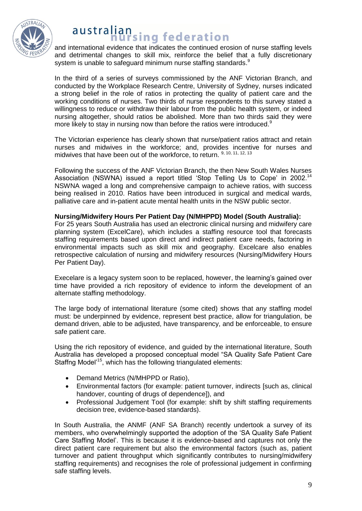

## australian **Hallsing federation**

and international evidence that indicates the continued erosion of nurse staffing levels and detrimental changes to skill mix, reinforce the belief that a fully discretionary system is unable to safeguard minimum nurse staffing standards. $^{\text{\textregistered}}$ 

In the third of a series of surveys commissioned by the ANF Victorian Branch, and conducted by the Workplace Research Centre, University of Sydney, nurses indicated a strong belief in the role of ratios in protecting the quality of patient care and the working conditions of nurses. Two thirds of nurse respondents to this survey stated a willingness to reduce or withdraw their labour from the public health system, or indeed nursing altogether, should ratios be abolished. More than two thirds said they were more likely to stay in nursing now than before the ratios were introduced.<sup>9</sup>

The Victorian experience has clearly shown that nurse/patient ratios attract and retain nurses and midwives in the workforce; and, provides incentive for nurses and midwives that have been out of the workforce, to return. <sup>9, 10, 11, 12, 13</sup>

Following the success of the ANF Victorian Branch, the then New South Wales Nurses Association (NSWNA) issued a report titled 'Stop Telling Us to Cope' in 2002.<sup>14</sup> NSWNA waged a long and comprehensive campaign to achieve ratios, with success being realised in 2010. Ratios have been introduced in surgical and medical wards, palliative care and in-patient acute mental health units in the NSW public sector.

## **Nursing/Midwifery Hours Per Patient Day (N/MHPPD) Model (South Australia):**

For 25 years South Australia has used an electronic clinical nursing and midwifery care planning system (ExcelCare), which includes a staffing resource tool that forecasts staffing requirements based upon direct and indirect patient care needs, factoring in environmental impacts such as skill mix and geography. Excelcare also enables retrospective calculation of nursing and midwifery resources (Nursing/Midwifery Hours Per Patient Day).

Execelare is a legacy system soon to be replaced, however, the learning's gained over time have provided a rich repository of evidence to inform the development of an alternate staffing methodology.

The large body of international literature (some cited) shows that any staffing model must: be underpinned by evidence, represent best practice, allow for triangulation, be demand driven, able to be adjusted, have transparency, and be enforceable, to ensure safe patient care.

Using the rich repository of evidence, and guided by the international literature, South Australia has developed a proposed conceptual model "SA Quality Safe Patient Care Staffng Model'<sup>15</sup>, which has the following triangulated elements:

- Demand Metrics (N/MHPPD or Ratio),
- Environmental factors (for example: patient turnover, indirects [such as, clinical handover, counting of drugs of dependence]), and
- Professional Judgement Tool (for example: shift by shift staffing requirements decision tree, evidence-based standards).

In South Australia, the ANMF (ANF SA Branch) recently undertook a survey of its members, who overwhelmingly supported the adoption of the 'SA Quality Safe Patient Care Staffing Model'. This is because it is evidence-based and captures not only the direct patient care requirement but also the environmental factors (such as, patient turnover and patient throughput which significantly contributes to nursing/midwifery staffing requirements) and recognises the role of professional judgement in confirming safe staffing levels.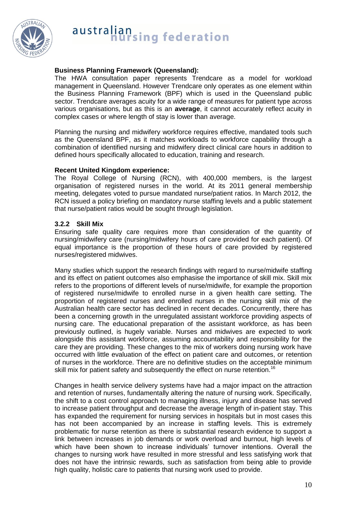

## **Business Planning Framework (Queensland):**

The HWA consultation paper represents Trendcare as a model for workload management in Queensland. However Trendcare only operates as one element within the Business Planning Framework (BPF) which is used in the Queensland public sector. Trendcare averages acuity for a wide range of measures for patient type across various organisations, but as this is an **average**, it cannot accurately reflect acuity in complex cases or where length of stay is lower than average.

Planning the nursing and midwifery workforce requires effective, mandated tools such as the Queensland BPF, as it matches workloads to workforce capability through a combination of identified nursing and midwifery direct clinical care hours in addition to defined hours specifically allocated to education, training and research.

#### **Recent United Kingdom experience:**

The Royal College of Nursing (RCN), with 400,000 members, is the largest organisation of registered nurses in the world. At its 2011 general membership meeting, delegates voted to pursue mandated nurse/patient ratios. In March 2012, the RCN issued a policy briefing on mandatory nurse staffing levels and a public statement that nurse/patient ratios would be sought through legislation.

## **3.2.2 Skill Mix**

Ensuring safe quality care requires more than consideration of the quantity of nursing/midwifery care (nursing/midwifery hours of care provided for each patient). Of equal importance is the proportion of these hours of care provided by registered nurses/registered midwives.

Many studies which support the research findings with regard to nurse/midwife staffing and its effect on patient outcomes also emphasise the importance of skill mix. Skill mix refers to the proportions of different levels of nurse/midwife, for example the proportion of registered nurse/midwife to enrolled nurse in a given health care setting. The proportion of registered nurses and enrolled nurses in the nursing skill mix of the Australian health care sector has declined in recent decades. Concurrently, there has been a concerning growth in the unregulated assistant workforce providing aspects of nursing care. The educational preparation of the assistant workforce, as has been previously outlined, is hugely variable. Nurses and midwives are expected to work alongside this assistant workforce, assuming accountability and responsibility for the care they are providing. These changes to the mix of workers doing nursing work have occurred with little evaluation of the effect on patient care and outcomes, or retention of nurses in the workforce. There are no definitive studies on the acceptable minimum skill mix for patient safety and subsequently the effect on nurse retention.<sup>16</sup>

Changes in health service delivery systems have had a major impact on the attraction and retention of nurses, fundamentally altering the nature of nursing work. Specifically, the shift to a cost control approach to managing illness, injury and disease has served to increase patient throughput and decrease the average length of in-patient stay. This has expanded the requirement for nursing services in hospitals but in most cases this has not been accompanied by an increase in staffing levels. This is extremely problematic for nurse retention as there is substantial research evidence to support a link between increases in job demands or work overload and burnout, high levels of which have been shown to increase individuals' turnover intentions. Overall the changes to nursing work have resulted in more stressful and less satisfying work that does not have the intrinsic rewards, such as satisfaction from being able to provide high quality, holistic care to patients that nursing work used to provide.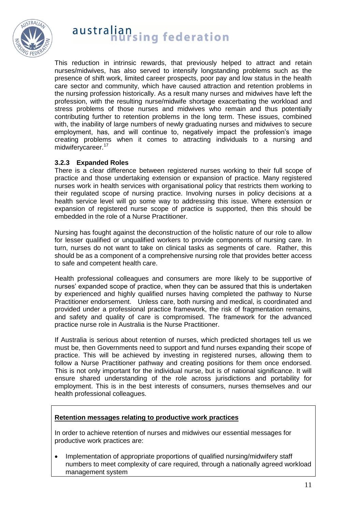

This reduction in intrinsic rewards, that previously helped to attract and retain nurses/midwives, has also served to intensify longstanding problems such as the presence of shift work, limited career prospects, poor pay and low status in the health care sector and community, which have caused attraction and retention problems in the nursing profession historically. As a result many nurses and midwives have left the profession, with the resulting nurse/midwife shortage exacerbating the workload and stress problems of those nurses and midwives who remain and thus potentially contributing further to retention problems in the long term. These issues, combined with, the inability of large numbers of newly graduating nurses and midwives to secure employment, has, and will continue to, negatively impact the profession's image creating problems when it comes to attracting individuals to a nursing and midwiferycareer.<sup>17</sup>

### **3.2.3 Expanded Roles**

There is a clear difference between registered nurses working to their full scope of practice and those undertaking extension or expansion of practice. Many registered nurses work in health services with organisational policy that restricts them working to their regulated scope of nursing practice. Involving nurses in policy decisions at a health service level will go some way to addressing this issue. Where extension or expansion of registered nurse scope of practice is supported, then this should be embedded in the role of a Nurse Practitioner.

Nursing has fought against the deconstruction of the holistic nature of our role to allow for lesser qualified or unqualified workers to provide components of nursing care. In turn, nurses do not want to take on clinical tasks as segments of care. Rather, this should be as a component of a comprehensive nursing role that provides better access to safe and competent health care.

Health professional colleagues and consumers are more likely to be supportive of nurses' expanded scope of practice, when they can be assured that this is undertaken by experienced and highly qualified nurses having completed the pathway to Nurse Practitioner endorsement. Unless care, both nursing and medical, is coordinated and provided under a professional practice framework, the risk of fragmentation remains, and safety and quality of care is compromised. The framework for the advanced practice nurse role in Australia is the Nurse Practitioner.

If Australia is serious about retention of nurses, which predicted shortages tell us we must be, then Governments need to support and fund nurses expanding their scope of practice. This will be achieved by investing in registered nurses, allowing them to follow a Nurse Practitioner pathway and creating positions for them once endorsed. This is not only important for the individual nurse, but is of national significance. It will ensure shared understanding of the role across jurisdictions and portability for employment. This is in the best interests of consumers, nurses themselves and our health professional colleagues.

### **Retention messages relating to productive work practices**

In order to achieve retention of nurses and midwives our essential messages for productive work practices are:

• Implementation of appropriate proportions of qualified nursing/midwifery staff numbers to meet complexity of care required, through a nationally agreed workload management system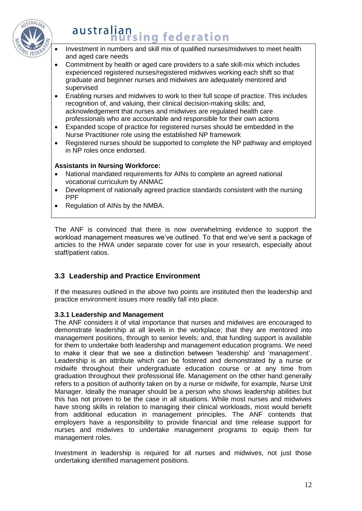

- Investment in numbers and skill mix of qualified nurses/midwives to meet health and aged care needs
- Commitment by health or aged care providers to a safe skill-mix which includes experienced registered nurses/registered midwives working each shift so that graduate and beginner nurses and midwives are adequately mentored and supervised
- Enabling nurses and midwives to work to their full scope of practice. This includes recognition of, and valuing, their clinical decision-making skills; and, acknowledgement that nurses and midwives are regulated health care professionals who are accountable and responsible for their own actions
- Expanded scope of practice for registered nurses should be embedded in the Nurse Practitioner role using the established NP framework
- Registered nurses should be supported to complete the NP pathway and employed in NP roles once endorsed.

## **Assistants in Nursing Workforce:**

- National mandated requirements for AINs to complete an agreed national vocational curriculum by ANMAC
- Development of nationally agreed practice standards consistent with the nursing PPF
- Regulation of AINs by the NMBA.

The ANF is convinced that there is now overwhelming evidence to support the workload management measures we've outlined. To that end we've sent a package of articles to the HWA under separate cover for use in your research, especially about staff/patient ratios.

## **3.3 Leadership and Practice Environment**

If the measures outlined in the above two points are instituted then the leadership and practice environment issues more readily fall into place.

### **3.3.1 Leadership and Management**

The ANF considers it of vital importance that nurses and midwives are encouraged to demonstrate leadership at all levels in the workplace; that they are mentored into management positions, through to senior levels; and, that funding support is available for them to undertake both leadership and management education programs. We need to make it clear that we see a distinction between 'leadership' and 'management'. Leadership is an attribute which can be fostered and demonstrated by a nurse or midwife throughout their undergraduate education course or at any time from graduation throughout their professional life. Management on the other hand generally refers to a position of authority taken on by a nurse or midwife, for example, Nurse Unit Manager. Ideally the manager should be a person who shows leadership abilities but this has not proven to be the case in all situations. While most nurses and midwives have strong skills in relation to managing their clinical workloads, most would benefit from additional education in management principles. The ANF contends that employers have a responsibility to provide financial and time release support for nurses and midwives to undertake management programs to equip them for management roles.

Investment in leadership is required for all nurses and midwives, not just those undertaking identified management positions.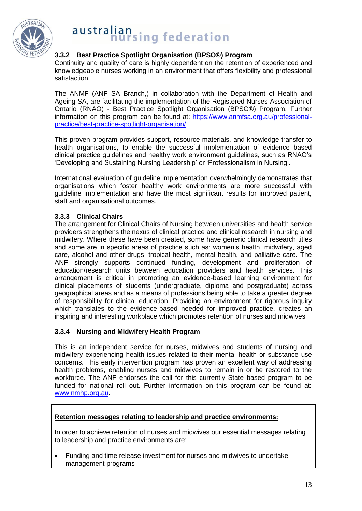

## **3.3.2 Best Practice Spotlight Organisation (BPSO®) Program**

Continuity and quality of care is highly dependent on the retention of experienced and knowledgeable nurses working in an environment that offers flexibility and professional satisfaction.

The ANMF (ANF SA Branch,) in collaboration with the Department of Health and Ageing SA, are facilitating the implementation of the Registered Nurses Association of Ontario (RNAO) - Best Practice Spotlight Organisation (BPSO®) Program. Further information on this program can be found at: [https://www.anmfsa.org.au/professional](https://www.anmfsa.org.au/professional-practice/best-practice-spotlight-organisation/)[practice/best-practice-spotlight-organisation/](https://www.anmfsa.org.au/professional-practice/best-practice-spotlight-organisation/)

This proven program provides support, resource materials, and knowledge transfer to health organisations, to enable the successful implementation of evidence based clinical practice guidelines and healthy work environment guidelines, such as RNAO's 'Developing and Sustaining Nursing Leadership' or 'Professionalism in Nursing'.

International evaluation of guideline implementation overwhelmingly demonstrates that organisations which foster healthy work environments are more successful with guideline implementation and have the most significant results for improved patient, staff and organisational outcomes.

## **3.3.3 Clinical Chairs**

The arrangement for Clinical Chairs of Nursing between universities and health service providers strengthens the nexus of clinical practice and clinical research in nursing and midwifery. Where these have been created, some have generic clinical research titles and some are in specific areas of practice such as: women's health, midwifery, aged care, alcohol and other drugs, tropical health, mental health, and palliative care. The ANF strongly supports continued funding, development and proliferation of education/research units between education providers and health services. This arrangement is critical in promoting an evidence-based learning environment for clinical placements of students (undergraduate, diploma and postgraduate) across geographical areas and as a means of professions being able to take a greater degree of responsibility for clinical education. Providing an environment for rigorous inquiry which translates to the evidence-based needed for improved practice, creates an inspiring and interesting workplace which promotes retention of nurses and midwives

### **3.3.4 Nursing and Midwifery Health Program**

This is an independent service for nurses, midwives and students of nursing and midwifery experiencing health issues related to their mental health or substance use concerns. This early intervention program has proven an excellent way of addressing health problems, enabling nurses and midwives to remain in or be restored to the workforce. The ANF endorses the call for this currently State based program to be funded for national roll out. Further information on this program can be found at: [www.nmhp.org.au.](http://www.nmhp.org.au/)

### **Retention messages relating to leadership and practice environments:**

In order to achieve retention of nurses and midwives our essential messages relating to leadership and practice environments are:

 Funding and time release investment for nurses and midwives to undertake management programs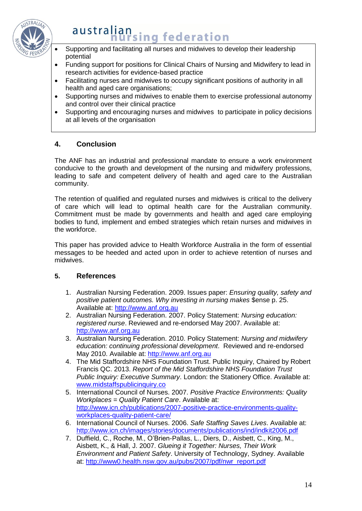

## australian **Hansing federation**

- Supporting and facilitating all nurses and midwives to develop their leadership potential
- Funding support for positions for Clinical Chairs of Nursing and Midwifery to lead in research activities for evidence-based practice
- Facilitating nurses and midwives to occupy significant positions of authority in all health and aged care organisations;
- Supporting nurses and midwives to enable them to exercise professional autonomy and control over their clinical practice
- Supporting and encouraging nurses and midwives to participate in policy decisions at all levels of the organisation

## **4. Conclusion**

The ANF has an industrial and professional mandate to ensure a work environment conducive to the growth and development of the nursing and midwifery professions, leading to safe and competent delivery of health and aged care to the Australian community.

The retention of qualified and regulated nurses and midwives is critical to the delivery of care which will lead to optimal health care for the Australian community. Commitment must be made by governments and health and aged care employing bodies to fund, implement and embed strategies which retain nurses and midwives in the workforce.

This paper has provided advice to Health Workforce Australia in the form of essential messages to be heeded and acted upon in order to achieve retention of nurses and midwives.

## **5. References**

- 1. Australian Nursing Federation. 2009. Issues paper: *Ensuring quality, safety and positive patient outcomes. Why investing in nursing makes* \$ense p. 25. Available at: [http://www.anf.org.au](http://www.anf.org.au/)
- 2. Australian Nursing Federation. 2007. Policy Statement: *Nursing education: registered nurse*. Reviewed and re-endorsed May 2007. Available at: [http://www.anf.org.au](http://www.anf.org.au/)
- 3. Australian Nursing Federation. 2010. Policy Statement: *Nursing and midwifery education: continuing professional development*. Reviewed and re-endorsed May 2010. Available at: [http://www.anf.org.au](http://www.anf.org.au/)
- 4. The Mid Staffordshire NHS Foundation Trust. Public Inquiry, Chaired by Robert Francis QC. 2013. *Report of the Mid Staffordshire NHS Foundation Trust Public Inquiry: Executive Summary*. London: the Stationery Office. Available at: [www.midstaffspublicinquiry.co](http://www.midstaffspublicinquiry.co/)
- 5. International Council of Nurses. 2007. *Positive Practice Environments: Quality Workplaces = Quality Patient Care*. Available at: [http://www.icn.ch/publications/2007-positive-practice-environments-quality](http://www.icn.ch/publications/2007-positive-practice-environments-quality-workplaces-quality-patient-care/)[workplaces-quality-patient-care/](http://www.icn.ch/publications/2007-positive-practice-environments-quality-workplaces-quality-patient-care/)
- 6. International Council of Nurses. 2006. *Safe Staffing Saves Lives*. Available at: <http://www.icn.ch/images/stories/documents/publications/ind/indkit2006.pdf>
- 7. Duffield, C., Roche, M., O'Brien-Pallas, L., Diers, D., Aisbett, C., King, M., Aisbett, K., & Hall, J. 2007. *Glueing it Together: Nurses, Their Work Environment and Patient Safety*. University of Technology, Sydney. Available at: [http://www0.health.nsw.gov.au/pubs/2007/pdf/nwr\\_report.pdf](http://www0.health.nsw.gov.au/pubs/2007/pdf/nwr_report.pdf)